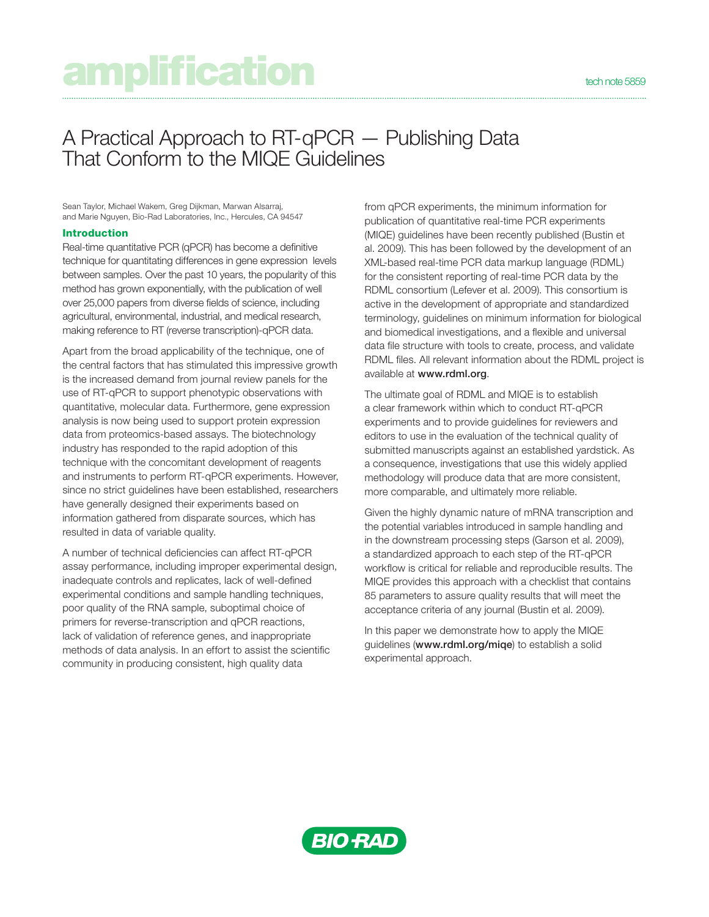# amplification technole 5859

# A Practical Approach to RT-qPCR — Publishing Data That Conform to the MIQE Guidelines

Sean Taylor, Michael Wakem, Greg Dijkman, Marwan Alsarraj, and Marie Nguyen, Bio-Rad Laboratories, Inc., Hercules, CA 94547

#### Introduction

Real-time quantitative PCR (qPCR) has become a definitive technique for quantitating differences in gene expression levels between samples. Over the past 10 years, the popularity of this method has grown exponentially, with the publication of well over 25,000 papers from diverse fields of science, including agricultural, environmental, industrial, and medical research, making reference to RT (reverse transcription)-qPCR data.

Apart from the broad applicability of the technique, one of the central factors that has stimulated this impressive growth is the increased demand from journal review panels for the use of RT-qPCR to support phenotypic observations with quantitative, molecular data. Furthermore, gene expression analysis is now being used to support protein expression data from proteomics-based assays. The biotechnology industry has responded to the rapid adoption of this technique with the concomitant development of reagents and instruments to perform RT-qPCR experiments. However, since no strict guidelines have been established, researchers have generally designed their experiments based on information gathered from disparate sources, which has resulted in data of variable quality.

A number of technical deficiencies can affect RT-qPCR assay performance, including improper experimental design, inadequate controls and replicates, lack of well-defined experimental conditions and sample handling techniques, poor quality of the RNA sample, suboptimal choice of primers for reverse-transcription and qPCR reactions, lack of validation of reference genes, and inappropriate methods of data analysis. In an effort to assist the scientific community in producing consistent, high quality data

from qPCR experiments, the minimum information for publication of quantitative real-time PCR experiments (MIQE) guidelines have been recently published (Bustin et al. 2009). This has been followed by the development of an XML-based real-time PCR data markup language (RDML) for the consistent reporting of real-time PCR data by the RDML consortium (Lefever et al. 2009). This consortium is active in the development of appropriate and standardized terminology, guidelines on minimum information for biological and biomedical investigations, and a flexible and universal data file structure with tools to create, process, and validate RDML files. All relevant information about the RDML project is available at www.rdml.org.

The ultimate goal of RDML and MIQE is to establish a clear framework within which to conduct RT-qPCR experiments and to provide guidelines for reviewers and editors to use in the evaluation of the technical quality of submitted manuscripts against an established yardstick. As a consequence, investigations that use this widely applied methodology will produce data that are more consistent, more comparable, and ultimately more reliable.

Given the highly dynamic nature of mRNA transcription and the potential variables introduced in sample handling and in the downstream processing steps (Garson et al. 2009), a standardized approach to each step of the RT-qPCR workflow is critical for reliable and reproducible results. The MIQE provides this approach with a checklist that contains 85 parameters to assure quality results that will meet the acceptance criteria of any journal (Bustin et al. 2009).

In this paper we demonstrate how to apply the MIQE guidelines (www.rdml.org/miqe) to establish a solid experimental approach.

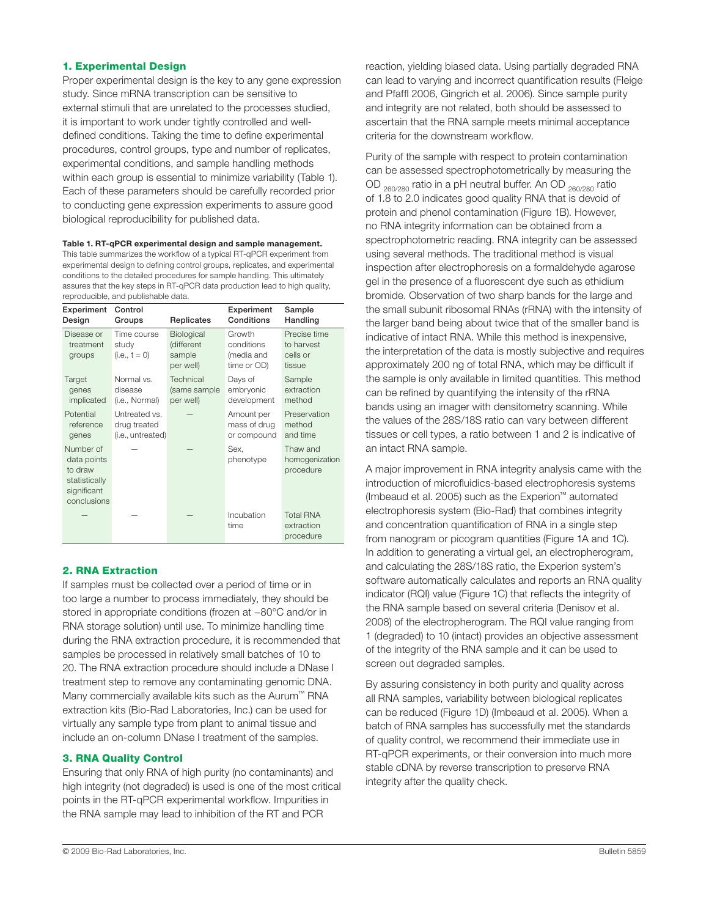#### 1. Experimental Design

Proper experimental design is the key to any gene expression study. Since mRNA transcription can be sensitive to external stimuli that are unrelated to the processes studied, it is important to work under tightly controlled and welldefined conditions. Taking the time to define experimental procedures, control groups, type and number of replicates, experimental conditions, and sample handling methods within each group is essential to minimize variability (Table 1). Each of these parameters should be carefully recorded prior to conducting gene expression experiments to assure good biological reproducibility for published data.

Table 1. RT-qPCR experimental design and sample management. This table summarizes the workflow of a typical RT-qPCR experiment from experimental design to defining control groups, replicates, and experimental conditions to the detailed procedures for sample handling. This ultimately assures that the key steps in RT-qPCR data production lead to high quality, reproducible, and publishable data.

| Experiment                                                                         | Control                                 | Replicates                                      | Experiment                                        | Sample                                           |
|------------------------------------------------------------------------------------|-----------------------------------------|-------------------------------------------------|---------------------------------------------------|--------------------------------------------------|
| Design                                                                             | Groups                                  |                                                 | Conditions                                        | Handling                                         |
| Disease or<br>treatment<br>groups                                                  | Time course<br>study<br>$(i.e., t = 0)$ | Biological<br>(different<br>sample<br>per well) | Growth<br>conditions<br>(media and<br>time or OD) | Precise time<br>to harvest<br>cells or<br>tissue |
| Target                                                                             | Normal vs.                              | Technical                                       | Days of                                           | Sample                                           |
| genes                                                                              | disease                                 | (same sample                                    | embryonic                                         | extraction                                       |
| implicated                                                                         | (i.e., Normal)                          | per well)                                       | development                                       | method                                           |
| Potential                                                                          | Untreated vs.                           |                                                 | Amount per                                        | Preservation                                     |
| reference                                                                          | drug treated                            |                                                 | mass of drug                                      | method                                           |
| genes                                                                              | (i.e., untreated)                       |                                                 | or compound                                       | and time                                         |
| Number of<br>data points<br>to draw<br>statistically<br>significant<br>conclusions |                                         |                                                 | Sex.<br>phenotype                                 | Thaw and<br>homogenization<br>procedure          |
|                                                                                    |                                         |                                                 | Incubation<br>time                                | <b>Total RNA</b><br>extraction<br>procedure      |

# 2. RNA Extraction

If samples must be collected over a period of time or in too large a number to process immediately, they should be stored in appropriate conditions (frozen at −80°C and/or in RNA storage solution) until use. To minimize handling time during the RNA extraction procedure, it is recommended that samples be processed in relatively small batches of 10 to 20. The RNA extraction procedure should include a DNase I treatment step to remove any contaminating genomic DNA. Many commercially available kits such as the Aurum™ RNA extraction kits (Bio-Rad Laboratories, Inc.) can be used for virtually any sample type from plant to animal tissue and include an on-column DNase I treatment of the samples.

# 3. RNA Quality Control

Ensuring that only RNA of high purity (no contaminants) and high integrity (not degraded) is used is one of the most critical points in the RT-qPCR experimental workflow. Impurities in the RNA sample may lead to inhibition of the RT and PCR

reaction, yielding biased data. Using partially degraded RNA can lead to varying and incorrect quantification results (Fleige and Pfaffl 2006, Gingrich et al. 2006). Since sample purity and integrity are not related, both should be assessed to ascertain that the RNA sample meets minimal acceptance criteria for the downstream workflow.

Purity of the sample with respect to protein contamination can be assessed spectrophotometrically by measuring the OD  $_{260/280}$  ratio in a pH neutral buffer. An OD  $_{260/280}$  ratio of 1.8 to 2.0 indicates good quality RNA that is devoid of protein and phenol contamination (Figure 1B). However, no RNA integrity information can be obtained from a spectrophotometric reading. RNA integrity can be assessed using several methods. The traditional method is visual inspection after electrophoresis on a formaldehyde agarose gel in the presence of a fluorescent dye such as ethidium bromide. Observation of two sharp bands for the large and the small subunit ribosomal RNAs (rRNA) with the intensity of the larger band being about twice that of the smaller band is indicative of intact RNA. While this method is inexpensive, the interpretation of the data is mostly subjective and requires approximately 200 ng of total RNA, which may be difficult if the sample is only available in limited quantities. This method can be refined by quantifying the intensity of the rRNA bands using an imager with densitometry scanning. While the values of the 28S/18S ratio can vary between different tissues or cell types, a ratio between 1 and 2 is indicative of an intact RNA sample.

A major improvement in RNA integrity analysis came with the introduction of microfluidics-based electrophoresis systems (Imbeaud et al. 2005) such as the Experion™ automated electrophoresis system (Bio-Rad) that combines integrity and concentration quantification of RNA in a single step from nanogram or picogram quantities (Figure 1A and 1C). In addition to generating a virtual gel, an electropherogram, and calculating the 28S/18S ratio, the Experion system's software automatically calculates and reports an RNA quality indicator (RQI) value (Figure 1C) that reflects the integrity of the RNA sample based on several criteria (Denisov et al. 2008) of the electropherogram. The RQI value ranging from 1 (degraded) to 10 (intact) provides an objective assessment of the integrity of the RNA sample and it can be used to screen out degraded samples.

By assuring consistency in both purity and quality across all RNA samples, variability between biological replicates can be reduced (Figure 1D) (Imbeaud et al. 2005). When a batch of RNA samples has successfully met the standards of quality control, we recommend their immediate use in RT-qPCR experiments, or their conversion into much more stable cDNA by reverse transcription to preserve RNA integrity after the quality check.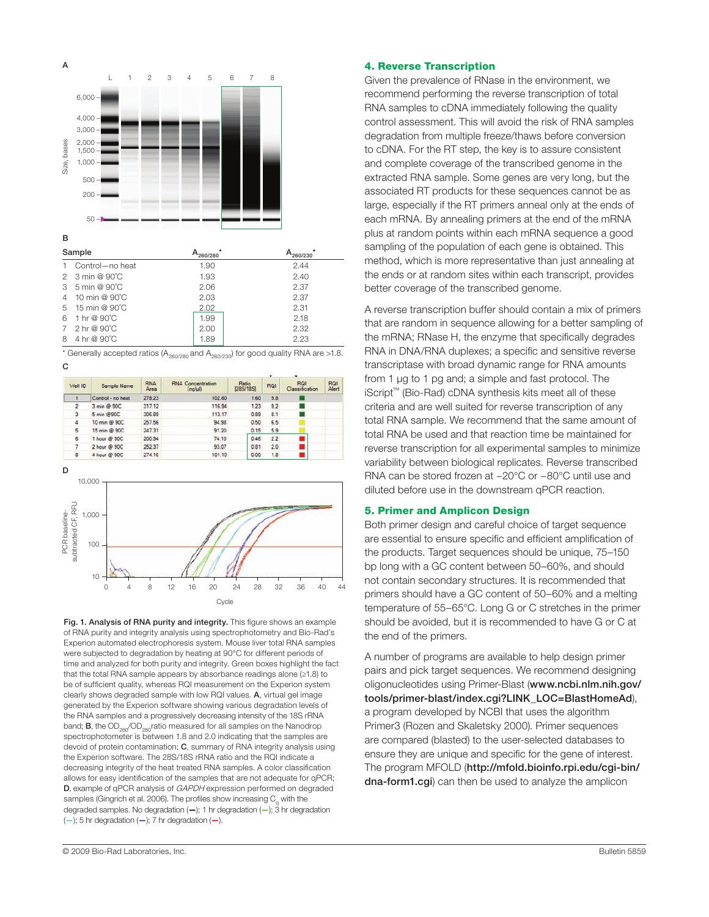

| -------- |                   | $-260/280$ | $-260/230$ |
|----------|-------------------|------------|------------|
|          | 1 Control-no heat | 1.90       | 2.44       |
|          | 2 3 min @ 90°C    | 1.93       | 2.40       |
|          | 3 5 min @ 90°C    | 2.06       | 2.37       |
|          | 4 10 min @ 90°C   | 2.03       | 2.37       |
|          | 5 15 min @ 90°C   | 2.02       | 2.31       |
|          | 6 1 hr @ 90°C     | 1.99       | 2.18       |
|          | 7 2 hr @ 90°C     | 2.00       | 2.32       |
|          | 8 4 hr @ 90°C     | 1.89       | 2.23       |
|          |                   |            |            |

C  $*$  Generally accepted ratios (A<sub>260/280</sub> and A<sub>260/230</sub>) for good quality RNA are >1.8.



**Cycle** 

0 4 8 12 16 20 24 28 32 36 40 44

Fig. 1. Analysis of RNA purity and integrity. This figure shows an example of RNA purity and integrity analysis using spectrophotometry and Bio-Rad's Experion automated electrophoresis system. Mouse liver total RNA samples were subjected to degradation by heating at 90°C for different periods of time and analyzed for both purity and integrity. Green boxes highlight the fact that the total RNA sample appears by absorbance readings alone (≥1.8) to be of sufficient quality, whereas RQI measurement on the Experion system clearly shows degraded sample with low RQI values. A, virtual gel image generated by the Experion software showing various degradation levels of the RNA samples and a progressively decreasing intensity of the 18S rRNA band; **B**, the  $OD<sub>260</sub>/OD<sub>280</sub>$ ratio measured for all samples on the Nanodrop spectrophotometer is between 1.8 and 2.0 indicating that the samples are devoid of protein contamination; C, summary of RNA integrity analysis using the Experion software. The 28S/18S rRNA ratio and the RQI indicate a decreasing integrity of the heat treated RNA samples. A color classification allows for easy identification of the samples that are not adequate for qPCR; D, example of qPCR analysis of GAPDH expression performed on degraded samples (Gingrich et al. 2006). The profiles show increasing  $C_{q}$  with the degraded samples. No degradation (—); 1 hr degradation (—); 3 hr degradation  $(-)$ ; 5 hr degradation  $(-)$ ; 7 hr degradation  $(-)$ .

#### 4. Reverse Transcription

Given the prevalence of RNase in the environment, we recommend performing the reverse transcription of total RNA samples to cDNA immediately following the quality control assessment. This will avoid the risk of RNA samples degradation from multiple freeze/thaws before conversion to cDNA. For the RT step, the key is to assure consistent and complete coverage of the transcribed genome in the extracted RNA sample. Some genes are very long, but the associated RT products for these sequences cannot be as large, especially if the RT primers anneal only at the ends of each mRNA. By annealing primers at the end of the mRNA plus at random points within each mRNA sequence a good sampling of the population of each gene is obtained. This method, which is more representative than just annealing at the ends or at random sites within each transcript, provides better coverage of the transcribed genome.

A reverse transcription buffer should contain a mix of primers that are random in sequence allowing for a better sampling of the mRNA; RNase H, the enzyme that specifically degrades RNA in DNA/RNA duplexes; a specific and sensitive reverse transcriptase with broad dynamic range for RNA amounts from 1 µg to 1 pg and; a simple and fast protocol. The iScript™ (Bio-Rad) cDNA synthesis kits meet all of these criteria and are well suited for reverse transcription of any total RNA sample. We recommend that the same amount of total RNA be used and that reaction time be maintained for reverse transcription for all experimental samples to minimize variability between biological replicates. Reverse transcribed RNA can be stored frozen at −20°C or −80°C until use and diluted before use in the downstream qPCR reaction.

#### 5. Primer and Amplicon Design

Both primer design and careful choice of target sequence are essential to ensure specific and efficient amplification of the products. Target sequences should be unique, 75–150 bp long with a GC content between 50–60%, and should not contain secondary structures. It is recommended that primers should have a GC content of 50–60% and a melting temperature of 55–65°C. Long G or C stretches in the primer should be avoided, but it is recommended to have G or C at the end of the primers.

A number of programs are available to help design primer pairs and pick target sequences. We recommend designing oligonucleotides using Primer-Blast (www.ncbi.nlm.nih.gov/ tools/primer-blast/index.cgi?LINK\_LOC=BlastHomeAd), a program developed by NCBI that uses the algorithm Primer3 (Rozen and Skaletsky 2000). Primer sequences are compared (blasted) to the user-selected databases to ensure they are unique and specific for the gene of interest. The program MFOLD (http://mfold.bioinfo.rpi.edu/cai-bin/ dna-form1.cgi) can then be used to analyze the amplicon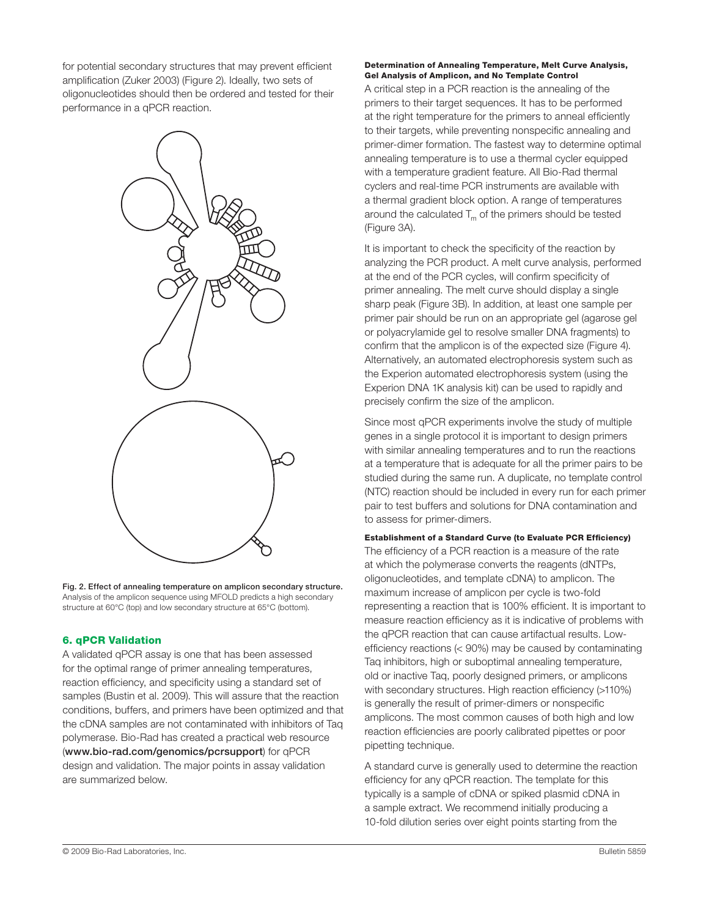for potential secondary structures that may prevent efficient amplification (Zuker 2003) (Figure 2). Ideally, two sets of oligonucleotides should then be ordered and tested for their performance in a qPCR reaction.



Fig. 2. Effect of annealing temperature on amplicon secondary structure. Analysis of the amplicon sequence using MFOLD predicts a high secondary structure at 60°C (top) and low secondary structure at 65°C (bottom).

# 6. qPCR Validation

A validated qPCR assay is one that has been assessed for the optimal range of primer annealing temperatures, reaction efficiency, and specificity using a standard set of samples (Bustin et al. 2009). This will assure that the reaction conditions, buffers, and primers have been optimized and that the cDNA samples are not contaminated with inhibitors of Taq polymerase. Bio-Rad has created a practical web resource (www.bio-rad.com/genomics/pcrsupport) for qPCR design and validation. The major points in assay validation are summarized below.

#### Determination of Annealing Temperature, Melt Curve Analysis, Gel Analysis of Amplicon, and No Template Control

A critical step in a PCR reaction is the annealing of the primers to their target sequences. It has to be performed at the right temperature for the primers to anneal efficiently to their targets, while preventing nonspecific annealing and primer-dimer formation. The fastest way to determine optimal annealing temperature is to use a thermal cycler equipped with a temperature gradient feature. All Bio-Rad thermal cyclers and real-time PCR instruments are available with a thermal gradient block option. A range of temperatures around the calculated  $T_m$  of the primers should be tested (Figure 3A).

It is important to check the specificity of the reaction by analyzing the PCR product. A melt curve analysis, performed at the end of the PCR cycles, will confirm specificity of primer annealing. The melt curve should display a single sharp peak (Figure 3B). In addition, at least one sample per primer pair should be run on an appropriate gel (agarose gel or polyacrylamide gel to resolve smaller DNA fragments) to confirm that the amplicon is of the expected size (Figure 4). Alternatively, an automated electrophoresis system such as the Experion automated electrophoresis system (using the Experion DNA 1K analysis kit) can be used to rapidly and precisely confirm the size of the amplicon.

Since most qPCR experiments involve the study of multiple genes in a single protocol it is important to design primers with similar annealing temperatures and to run the reactions at a temperature that is adequate for all the primer pairs to be studied during the same run. A duplicate, no template control (NTC) reaction should be included in every run for each primer pair to test buffers and solutions for DNA contamination and to assess for primer-dimers.

Establishment of a Standard Curve (to Evaluate PCR Efficiency) The efficiency of a PCR reaction is a measure of the rate at which the polymerase converts the reagents (dNTPs, oligonucleotides, and template cDNA) to amplicon. The maximum increase of amplicon per cycle is two-fold representing a reaction that is 100% efficient. It is important to measure reaction efficiency as it is indicative of problems with the qPCR reaction that can cause artifactual results. Lowefficiency reactions (< 90%) may be caused by contaminating Taq inhibitors, high or suboptimal annealing temperature, old or inactive Taq, poorly designed primers, or amplicons with secondary structures. High reaction efficiency (>110%) is generally the result of primer-dimers or nonspecific amplicons. The most common causes of both high and low reaction efficiencies are poorly calibrated pipettes or poor pipetting technique.

A standard curve is generally used to determine the reaction efficiency for any qPCR reaction. The template for this typically is a sample of cDNA or spiked plasmid cDNA in a sample extract. We recommend initially producing a 10-fold dilution series over eight points starting from the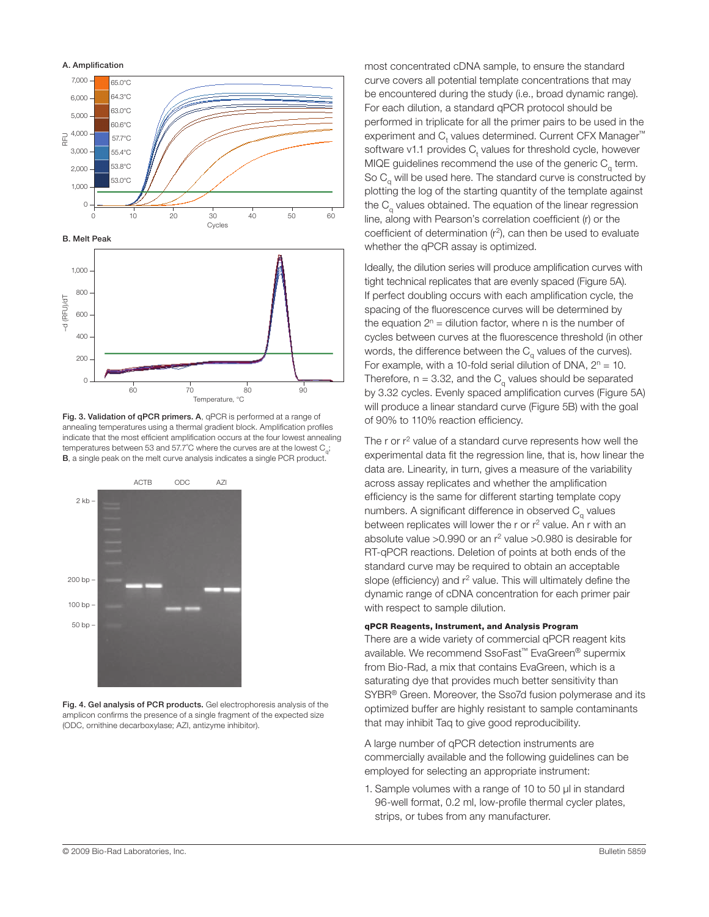

Fig. 3. Validation of qPCR primers. A, qPCR is performed at a range of annealing temperatures using a thermal gradient block. Amplification profiles indicate that the most efficient amplification occurs at the four lowest annealing temperatures between 53 and 57.7°C where the curves are at the lowest  $C_{\alpha}$ ; B, a single peak on the melt curve analysis indicates a single PCR product.



Fig. 4. Gel analysis of PCR products. Gel electrophoresis analysis of the amplicon confirms the presence of a single fragment of the expected size (ODC, ornithine decarboxylase; AZI, antizyme inhibitor).

most concentrated cDNA sample, to ensure the standard curve covers all potential template concentrations that may be encountered during the study (i.e., broad dynamic range). For each dilution, a standard qPCR protocol should be performed in triplicate for all the primer pairs to be used in the experiment and  ${\mathsf C}_{\mathsf t}$  values determined. Current CFX Manager™ software v1.1 provides  $C_t$  values for threshold cycle, however MIQE guidelines recommend the use of the generic  $C_q$  term. So  $C_{q}$  will be used here. The standard curve is constructed by plotting the log of the starting quantity of the template against the  $C<sub>a</sub>$  values obtained. The equation of the linear regression line, along with Pearson's correlation coefficient (r) or the coefficient of determination  $(r^2)$ , can then be used to evaluate whether the qPCR assay is optimized.

Ideally, the dilution series will produce amplification curves with tight technical replicates that are evenly spaced (Figure 5A). If perfect doubling occurs with each amplification cycle, the spacing of the fluorescence curves will be determined by the equation  $2<sup>n</sup>$  = dilution factor, where n is the number of cycles between curves at the fluorescence threshold (in other words, the difference between the  $C<sub>a</sub>$  values of the curves). For example, with a 10-fold serial dilution of DNA,  $2^n = 10$ . Therefore,  $n = 3.32$ , and the C<sub>a</sub> values should be separated by 3.32 cycles. Evenly spaced amplification curves (Figure 5A) will produce a linear standard curve (Figure 5B) with the goal of 90% to 110% reaction efficiency.

The r or  $r^2$  value of a standard curve represents how well the experimental data fit the regression line, that is, how linear the data are. Linearity, in turn, gives a measure of the variability across assay replicates and whether the amplification efficiency is the same for different starting template copy numbers. A significant difference in observed  $C<sub>a</sub>$  values between replicates will lower the r or r<sup>2</sup> value. An r with an absolute value  $>0.990$  or an  $r^2$  value  $>0.980$  is desirable for RT-qPCR reactions. Deletion of points at both ends of the standard curve may be required to obtain an acceptable slope (efficiency) and r<sup>2</sup> value. This will ultimately define the dynamic range of cDNA concentration for each primer pair with respect to sample dilution.

#### qPCR Reagents, Instrument, and Analysis Program

There are a wide variety of commercial qPCR reagent kits available. We recommend SsoFast™ EvaGreen® supermix from Bio-Rad, a mix that contains EvaGreen, which is a saturating dye that provides much better sensitivity than SYBR® Green. Moreover, the Sso7d fusion polymerase and its optimized buffer are highly resistant to sample contaminants that may inhibit Taq to give good reproducibility.

A large number of qPCR detection instruments are commercially available and the following guidelines can be employed for selecting an appropriate instrument:

1. Sample volumes with a range of 10 to 50 µl in standard 96-well format, 0.2 ml, low-profile thermal cycler plates, strips, or tubes from any manufacturer.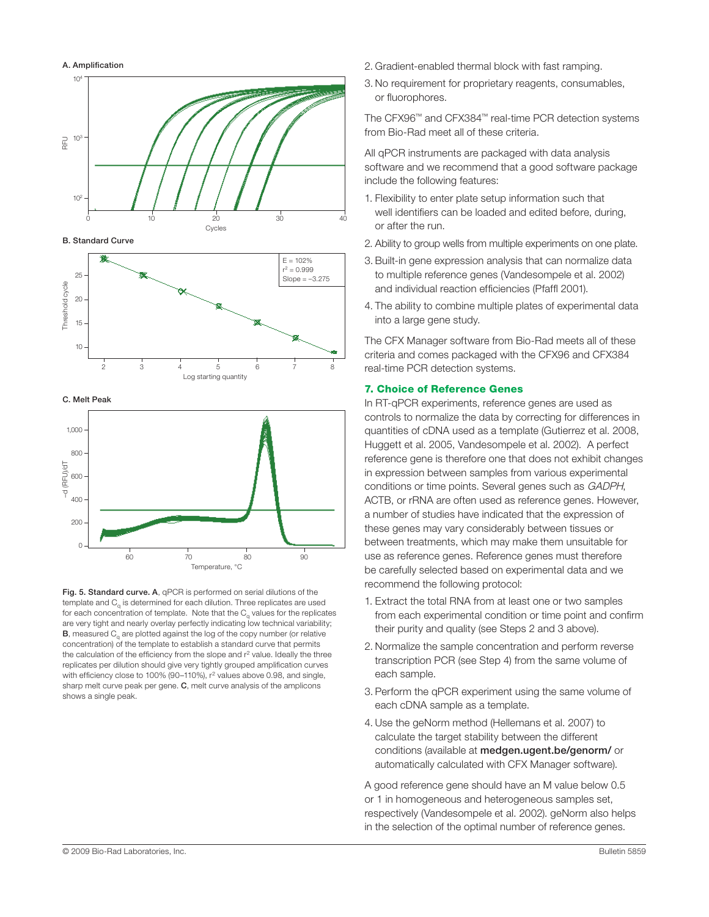

B. Standard Curve



C. Melt Peak



Fig. 5. Standard curve. A, qPCR is performed on serial dilutions of the template and C<sub>a</sub> is determined for each dilution. Three replicates are used for each concentration of template. Note that the  $C_{\alpha}$  values for the replicates are very tight and nearly overlay perfectly indicating low technical variability;  $B$ , measured  $C<sub>a</sub>$  are plotted against the log of the copy number (or relative concentration) of the template to establish a standard curve that permits the calculation of the efficiency from the slope and r<sup>2</sup> value. Ideally the three replicates per dilution should give very tightly grouped amplification curves with efficiency close to 100% (90-110%), r<sup>2</sup> values above 0.98, and single, sharp melt curve peak per gene. C, melt curve analysis of the amplicons shows a single peak.

- 2. Gradient-enabled thermal block with fast ramping.
- 3. No requirement for proprietary reagents, consumables, or fluorophores.

The CFX96™ and CFX384™ real-time PCR detection systems from Bio-Rad meet all of these criteria.

All qPCR instruments are packaged with data analysis software and we recommend that a good software package include the following features:

- 1. Flexibility to enter plate setup information such that well identifiers can be loaded and edited before, during, or after the run.
- 2. Ability to group wells from multiple experiments on one plate.
- 3. Built-in gene expression analysis that can normalize data to multiple reference genes (Vandesompele et al. 2002) and individual reaction efficiencies (Pfaffl 2001).
- 4. The ability to combine multiple plates of experimental data into a large gene study.

The CFX Manager software from Bio-Rad meets all of these criteria and comes packaged with the CFX96 and CFX384 real-time PCR detection systems.

#### 7. Choice of Reference Genes

In RT-qPCR experiments, reference genes are used as controls to normalize the data by correcting for differences in quantities of cDNA used as a template (Gutierrez et al. 2008, Huggett et al. 2005, Vandesompele et al. 2002). A perfect reference gene is therefore one that does not exhibit changes in expression between samples from various experimental conditions or time points. Several genes such as GADPH, ACTB, or rRNA are often used as reference genes. However, a number of studies have indicated that the expression of these genes may vary considerably between tissues or between treatments, which may make them unsuitable for use as reference genes. Reference genes must therefore be carefully selected based on experimental data and we recommend the following protocol:

- 1. Extract the total RNA from at least one or two samples from each experimental condition or time point and confirm their purity and quality (see Steps 2 and 3 above).
- 2. Normalize the sample concentration and perform reverse transcription PCR (see Step 4) from the same volume of each sample.
- 3. Perform the qPCR experiment using the same volume of each cDNA sample as a template.
- 4. Use the geNorm method (Hellemans et al. 2007) to calculate the target stability between the different conditions (available at medgen.ugent.be/genorm/ or automatically calculated with CFX Manager software).

A good reference gene should have an M value below 0.5 or 1 in homogeneous and heterogeneous samples set, respectively (Vandesompele et al. 2002). geNorm also helps in the selection of the optimal number of reference genes.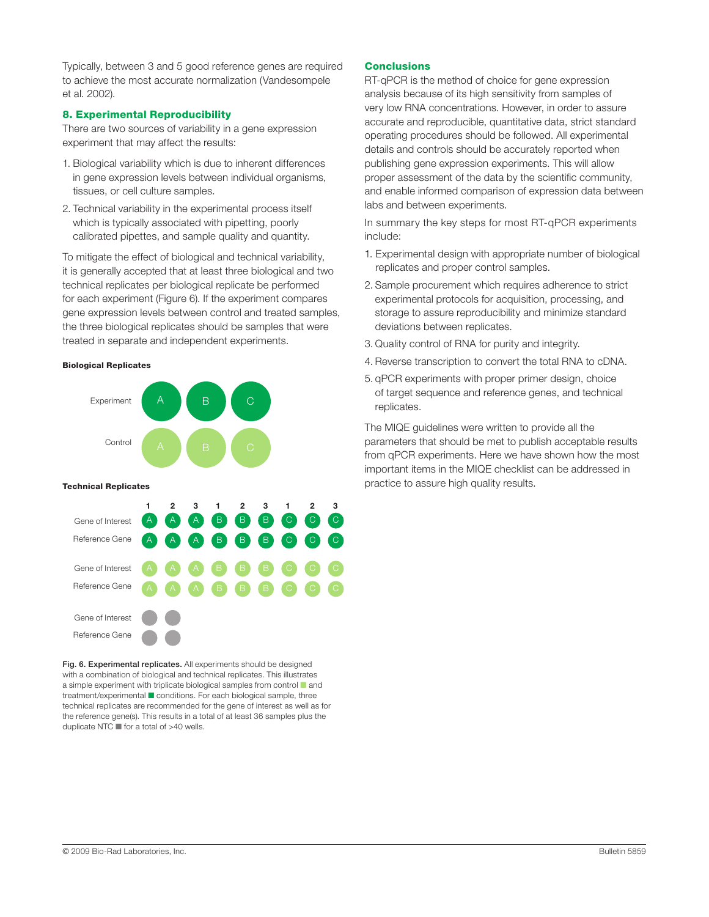Typically, between 3 and 5 good reference genes are required to achieve the most accurate normalization (Vandesompele et al. 2002).

#### 8. Experimental Reproducibility

There are two sources of variability in a gene expression experiment that may affect the results:

- 1. Biological variability which is due to inherent differences in gene expression levels between individual organisms, tissues, or cell culture samples.
- 2. Technical variability in the experimental process itself which is typically associated with pipetting, poorly calibrated pipettes, and sample quality and quantity.

To mitigate the effect of biological and technical variability, it is generally accepted that at least three biological and two technical replicates per biological replicate be performed for each experiment (Figure 6). If the experiment compares gene expression levels between control and treated samples, the three biological replicates should be samples that were treated in separate and independent experiments.

#### Biological Replicates



Fig. 6. Experimental replicates. All experiments should be designed with a combination of biological and technical replicates. This illustrates a simple experiment with triplicate biological samples from control  $\blacksquare$  and treatment/experimental conditions. For each biological sample, three technical replicates are recommended for the gene of interest as well as for the reference gene(s). This results in a total of at least 36 samples plus the duplicate NTC  $\blacksquare$  for a total of  $>40$  wells.

#### Conclusions

RT-qPCR is the method of choice for gene expression analysis because of its high sensitivity from samples of very low RNA concentrations. However, in order to assure accurate and reproducible, quantitative data, strict standard operating procedures should be followed. All experimental details and controls should be accurately reported when publishing gene expression experiments. This will allow proper assessment of the data by the scientific community, and enable informed comparison of expression data between labs and between experiments.

In summary the key steps for most RT-qPCR experiments include:

- 1. Experimental design with appropriate number of biological replicates and proper control samples.
- 2. Sample procurement which requires adherence to strict experimental protocols for acquisition, processing, and storage to assure reproducibility and minimize standard deviations between replicates.
- 3. Quality control of RNA for purity and integrity.
- 4. Reverse transcription to convert the total RNA to cDNA.
- 5. qPCR experiments with proper primer design, choice of target sequence and reference genes, and technical replicates.

The MIQE guidelines were written to provide all the parameters that should be met to publish acceptable results from qPCR experiments. Here we have shown how the most important items in the MIQE checklist can be addressed in practice to assure high quality results.